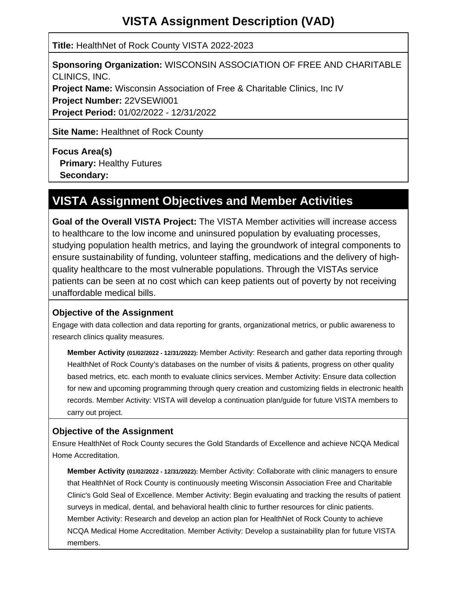# **VISTA Assignment Description (VAD)**

**Title:** HealthNet of Rock County VISTA 2022-2023

**Sponsoring Organization:** WISCONSIN ASSOCIATION OF FREE AND CHARITABLE CLINICS, INC. **Project Name:** Wisconsin Association of Free & Charitable Clinics, Inc IV **Project Number:** 22VSEWI001

**Project Period:** 01/02/2022 - 12/31/2022

**Site Name: Healthnet of Rock County** 

**Focus Area(s) Primary: Healthy Futures** 

 **Secondary:**

# **VISTA Assignment Objectives and Member Activities**

**Goal of the Overall VISTA Project:** The VISTA Member activities will increase access to healthcare to the low income and uninsured population by evaluating processes, studying population health metrics, and laying the groundwork of integral components to ensure sustainability of funding, volunteer staffing, medications and the delivery of highquality healthcare to the most vulnerable populations. Through the VISTAs service patients can be seen at no cost which can keep patients out of poverty by not receiving unaffordable medical bills.

### **Objective of the Assignment**

Engage with data collection and data reporting for grants, organizational metrics, or public awareness to research clinics quality measures.

**Member Activity (01/02/2022 - 12/31/2022):** Member Activity: Research and gather data reporting through HealthNet of Rock County's databases on the number of visits & patients, progress on other quality based metrics, etc. each month to evaluate clinics services. Member Activity: Ensure data collection for new and upcoming programming through query creation and customizing fields in electronic health records. Member Activity: VISTA will develop a continuation plan/guide for future VISTA members to carry out project.

#### **Objective of the Assignment**

Ensure HealthNet of Rock County secures the Gold Standards of Excellence and achieve NCQA Medical Home Accreditation.

**Member Activity (01/02/2022 - 12/31/2022):** Member Activity: Collaborate with clinic managers to ensure that HealthNet of Rock County is continuously meeting Wisconsin Association Free and Charitable Clinic's Gold Seal of Excellence. Member Activity: Begin evaluating and tracking the results of patient surveys in medical, dental, and behavioral health clinic to further resources for clinic patients. Member Activity: Research and develop an action plan for HealthNet of Rock County to achieve NCQA Medical Home Accreditation. Member Activity: Develop a sustainability plan for future VISTA members.